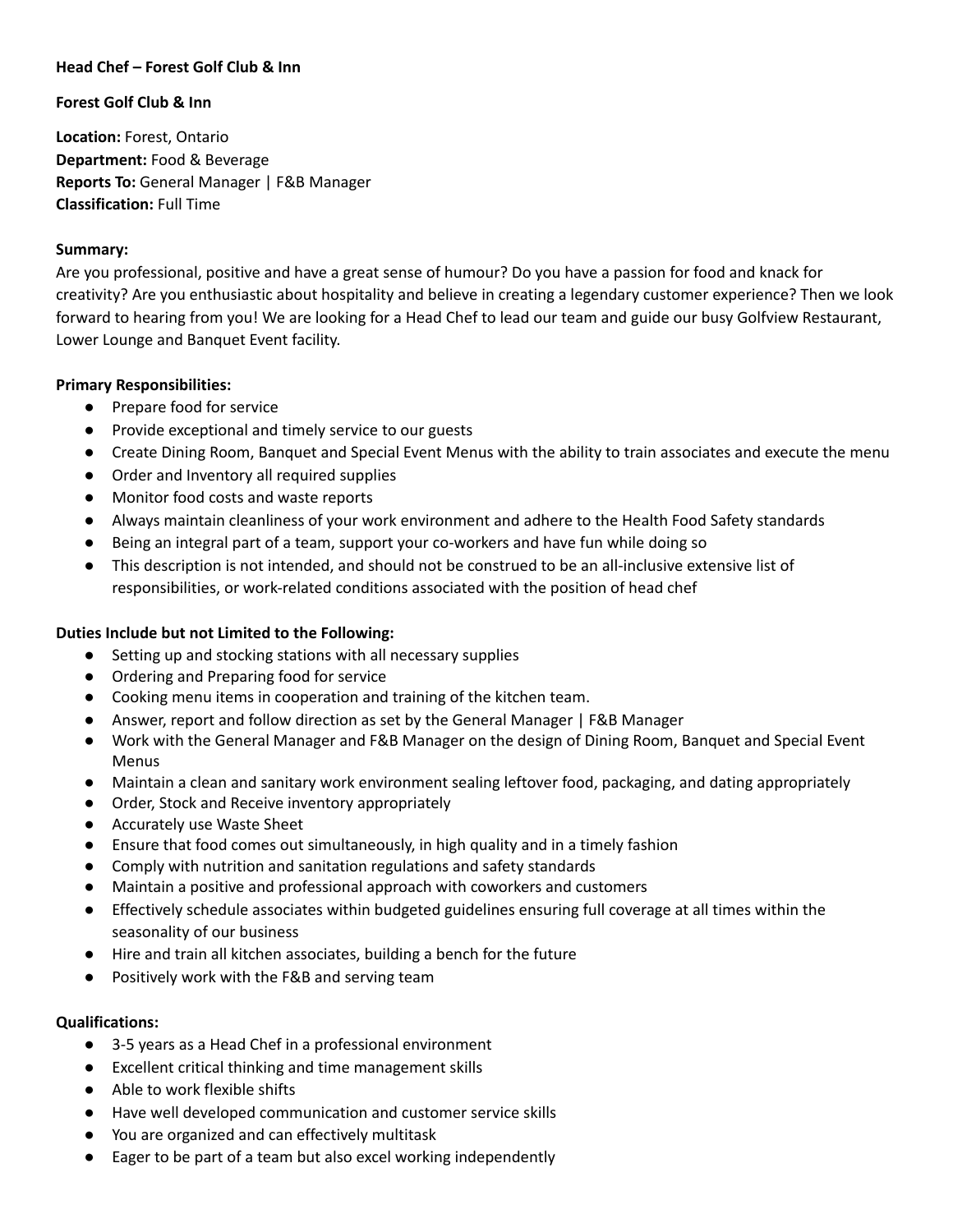## **Head Chef – Forest Golf Club & Inn**

### **Forest Golf Club & Inn**

**Location:** Forest, Ontario **Department:** Food & Beverage **Reports To:** General Manager | F&B Manager **Classification:** Full Time

#### **Summary:**

Are you professional, positive and have a great sense of humour? Do you have a passion for food and knack for creativity? Are you enthusiastic about hospitality and believe in creating a legendary customer experience? Then we look forward to hearing from you! We are looking for a Head Chef to lead our team and guide our busy Golfview Restaurant, Lower Lounge and Banquet Event facility.

## **Primary Responsibilities:**

- Prepare food for service
- Provide exceptional and timely service to our guests
- Create Dining Room, Banquet and Special Event Menus with the ability to train associates and execute the menu
- Order and Inventory all required supplies
- Monitor food costs and waste reports
- Always maintain cleanliness of your work environment and adhere to the Health Food Safety standards
- Being an integral part of a team, support your co-workers and have fun while doing so
- This description is not intended, and should not be construed to be an all-inclusive extensive list of responsibilities, or work-related conditions associated with the position of head chef

# **Duties Include but not Limited to the Following:**

- Setting up and stocking stations with all necessary supplies
- Ordering and Preparing food for service
- Cooking menu items in cooperation and training of the kitchen team.
- Answer, report and follow direction as set by the General Manager | F&B Manager
- Work with the General Manager and F&B Manager on the design of Dining Room, Banquet and Special Event Menus
- Maintain a clean and sanitary work environment sealing leftover food, packaging, and dating appropriately
- Order, Stock and Receive inventory appropriately
- Accurately use Waste Sheet
- Ensure that food comes out simultaneously, in high quality and in a timely fashion
- Comply with nutrition and sanitation regulations and safety standards
- Maintain a positive and professional approach with coworkers and customers
- Effectively schedule associates within budgeted guidelines ensuring full coverage at all times within the seasonality of our business
- Hire and train all kitchen associates, building a bench for the future
- Positively work with the F&B and serving team

#### **Qualifications:**

- 3-5 years as a Head Chef in a professional environment
- Excellent critical thinking and time management skills
- Able to work flexible shifts
- Have well developed communication and customer service skills
- You are organized and can effectively multitask
- Eager to be part of a team but also excel working independently